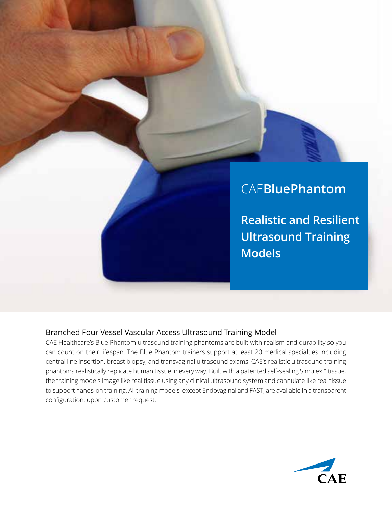

**Realistic and Resilient Ultrasound Training Models**

## Branched Four Vessel Vascular Access Ultrasound Training Model

CAE Healthcare's Blue Phantom ultrasound training phantoms are built with realism and durability so you can count on their lifespan. The Blue Phantom trainers support at least 20 medical specialties including central line insertion, breast biopsy, and transvaginal ultrasound exams. CAE's realistic ultrasound training phantoms realistically replicate human tissue in every way. Built with a patented self-sealing Simulex™ tissue, the training models image like real tissue using any clinical ultrasound system and cannulate like real tissue to support hands-on training. All training models, except Endovaginal and FAST, are available in a transparent configuration, upon customer request.